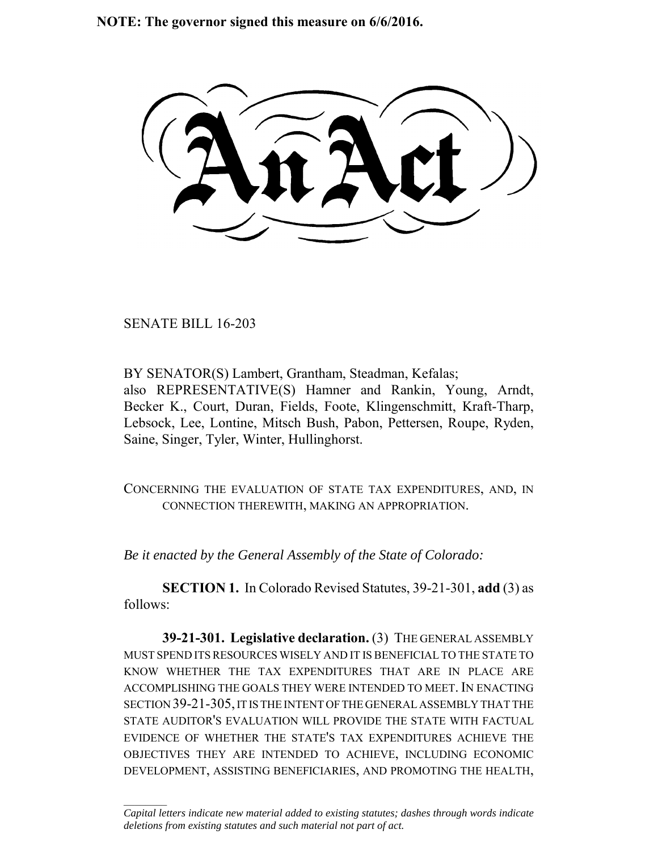**NOTE: The governor signed this measure on 6/6/2016.**

SENATE BILL 16-203

 $\frac{1}{2}$ 

BY SENATOR(S) Lambert, Grantham, Steadman, Kefalas; also REPRESENTATIVE(S) Hamner and Rankin, Young, Arndt, Becker K., Court, Duran, Fields, Foote, Klingenschmitt, Kraft-Tharp, Lebsock, Lee, Lontine, Mitsch Bush, Pabon, Pettersen, Roupe, Ryden, Saine, Singer, Tyler, Winter, Hullinghorst.

CONCERNING THE EVALUATION OF STATE TAX EXPENDITURES, AND, IN CONNECTION THEREWITH, MAKING AN APPROPRIATION.

*Be it enacted by the General Assembly of the State of Colorado:*

**SECTION 1.** In Colorado Revised Statutes, 39-21-301, **add** (3) as follows:

**39-21-301. Legislative declaration.** (3) THE GENERAL ASSEMBLY MUST SPEND ITS RESOURCES WISELY AND IT IS BENEFICIAL TO THE STATE TO KNOW WHETHER THE TAX EXPENDITURES THAT ARE IN PLACE ARE ACCOMPLISHING THE GOALS THEY WERE INTENDED TO MEET. IN ENACTING SECTION 39-21-305, IT IS THE INTENT OF THE GENERAL ASSEMBLY THAT THE STATE AUDITOR'S EVALUATION WILL PROVIDE THE STATE WITH FACTUAL EVIDENCE OF WHETHER THE STATE'S TAX EXPENDITURES ACHIEVE THE OBJECTIVES THEY ARE INTENDED TO ACHIEVE, INCLUDING ECONOMIC DEVELOPMENT, ASSISTING BENEFICIARIES, AND PROMOTING THE HEALTH,

*Capital letters indicate new material added to existing statutes; dashes through words indicate deletions from existing statutes and such material not part of act.*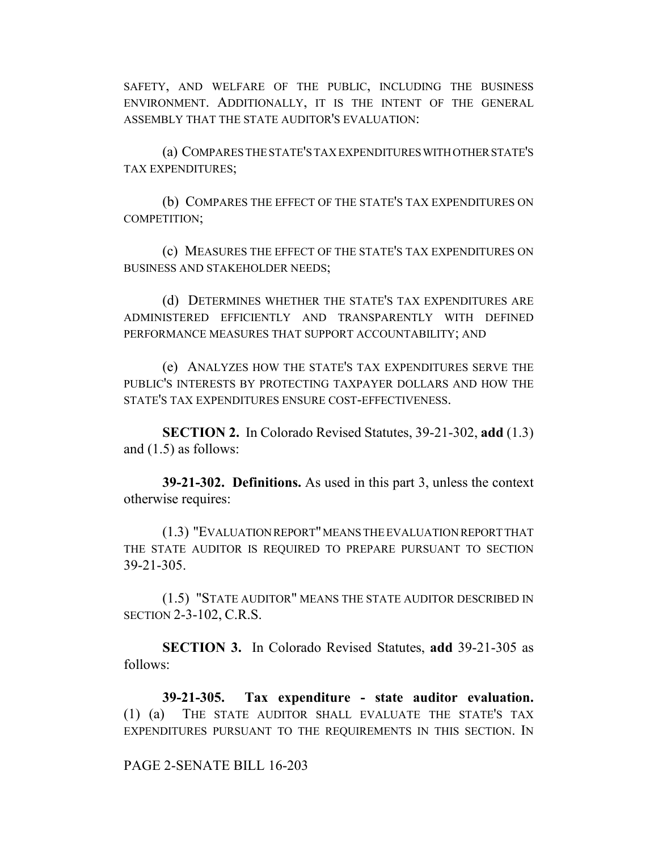SAFETY, AND WELFARE OF THE PUBLIC, INCLUDING THE BUSINESS ENVIRONMENT. ADDITIONALLY, IT IS THE INTENT OF THE GENERAL ASSEMBLY THAT THE STATE AUDITOR'S EVALUATION:

(a) COMPARES THE STATE'S TAX EXPENDITURES WITH OTHER STATE'S TAX EXPENDITURES;

(b) COMPARES THE EFFECT OF THE STATE'S TAX EXPENDITURES ON COMPETITION;

(c) MEASURES THE EFFECT OF THE STATE'S TAX EXPENDITURES ON BUSINESS AND STAKEHOLDER NEEDS;

(d) DETERMINES WHETHER THE STATE'S TAX EXPENDITURES ARE ADMINISTERED EFFICIENTLY AND TRANSPARENTLY WITH DEFINED PERFORMANCE MEASURES THAT SUPPORT ACCOUNTABILITY; AND

(e) ANALYZES HOW THE STATE'S TAX EXPENDITURES SERVE THE PUBLIC'S INTERESTS BY PROTECTING TAXPAYER DOLLARS AND HOW THE STATE'S TAX EXPENDITURES ENSURE COST-EFFECTIVENESS.

**SECTION 2.** In Colorado Revised Statutes, 39-21-302, **add** (1.3) and (1.5) as follows:

**39-21-302. Definitions.** As used in this part 3, unless the context otherwise requires:

(1.3) "EVALUATION REPORT" MEANS THE EVALUATION REPORT THAT THE STATE AUDITOR IS REQUIRED TO PREPARE PURSUANT TO SECTION 39-21-305.

(1.5) "STATE AUDITOR" MEANS THE STATE AUDITOR DESCRIBED IN SECTION 2-3-102, C.R.S.

**SECTION 3.** In Colorado Revised Statutes, **add** 39-21-305 as follows:

**39-21-305. Tax expenditure - state auditor evaluation.** (1) (a) THE STATE AUDITOR SHALL EVALUATE THE STATE'S TAX EXPENDITURES PURSUANT TO THE REQUIREMENTS IN THIS SECTION. IN

## PAGE 2-SENATE BILL 16-203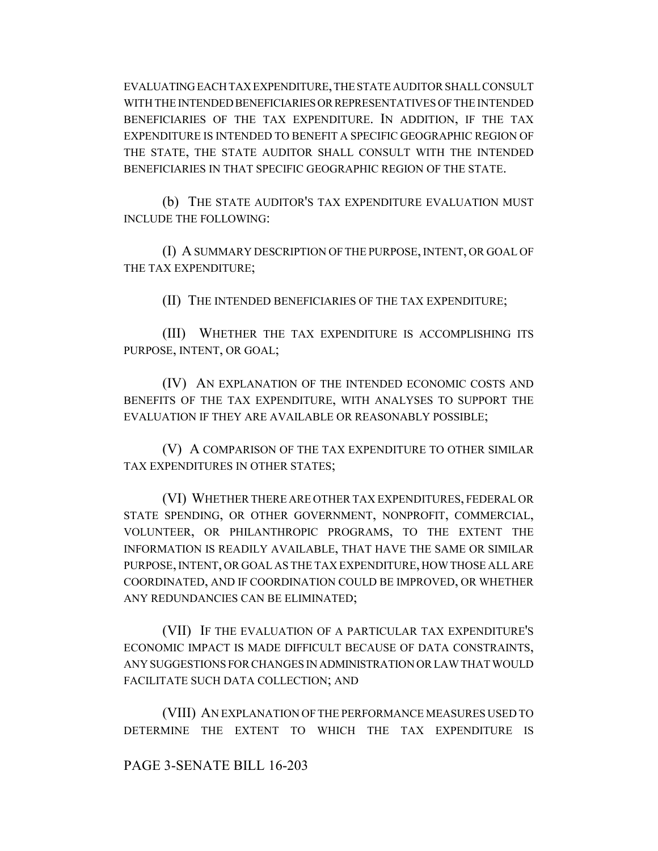EVALUATING EACH TAX EXPENDITURE, THE STATE AUDITOR SHALL CONSULT WITH THE INTENDED BENEFICIARIES OR REPRESENTATIVES OF THE INTENDED BENEFICIARIES OF THE TAX EXPENDITURE. IN ADDITION, IF THE TAX EXPENDITURE IS INTENDED TO BENEFIT A SPECIFIC GEOGRAPHIC REGION OF THE STATE, THE STATE AUDITOR SHALL CONSULT WITH THE INTENDED BENEFICIARIES IN THAT SPECIFIC GEOGRAPHIC REGION OF THE STATE.

(b) THE STATE AUDITOR'S TAX EXPENDITURE EVALUATION MUST INCLUDE THE FOLLOWING:

(I) A SUMMARY DESCRIPTION OF THE PURPOSE, INTENT, OR GOAL OF THE TAX EXPENDITURE;

(II) THE INTENDED BENEFICIARIES OF THE TAX EXPENDITURE;

(III) WHETHER THE TAX EXPENDITURE IS ACCOMPLISHING ITS PURPOSE, INTENT, OR GOAL;

(IV) AN EXPLANATION OF THE INTENDED ECONOMIC COSTS AND BENEFITS OF THE TAX EXPENDITURE, WITH ANALYSES TO SUPPORT THE EVALUATION IF THEY ARE AVAILABLE OR REASONABLY POSSIBLE;

(V) A COMPARISON OF THE TAX EXPENDITURE TO OTHER SIMILAR TAX EXPENDITURES IN OTHER STATES;

(VI) WHETHER THERE ARE OTHER TAX EXPENDITURES, FEDERAL OR STATE SPENDING, OR OTHER GOVERNMENT, NONPROFIT, COMMERCIAL, VOLUNTEER, OR PHILANTHROPIC PROGRAMS, TO THE EXTENT THE INFORMATION IS READILY AVAILABLE, THAT HAVE THE SAME OR SIMILAR PURPOSE, INTENT, OR GOAL AS THE TAX EXPENDITURE, HOW THOSE ALL ARE COORDINATED, AND IF COORDINATION COULD BE IMPROVED, OR WHETHER ANY REDUNDANCIES CAN BE ELIMINATED;

(VII) IF THE EVALUATION OF A PARTICULAR TAX EXPENDITURE'S ECONOMIC IMPACT IS MADE DIFFICULT BECAUSE OF DATA CONSTRAINTS, ANY SUGGESTIONS FOR CHANGES IN ADMINISTRATION OR LAW THAT WOULD FACILITATE SUCH DATA COLLECTION; AND

(VIII) AN EXPLANATION OF THE PERFORMANCE MEASURES USED TO DETERMINE THE EXTENT TO WHICH THE TAX EXPENDITURE IS

## PAGE 3-SENATE BILL 16-203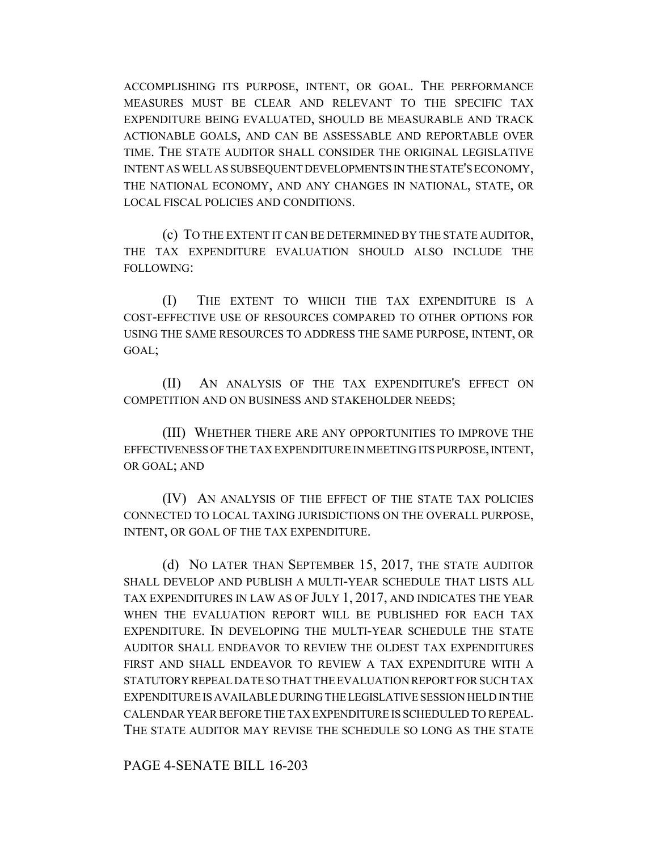ACCOMPLISHING ITS PURPOSE, INTENT, OR GOAL. THE PERFORMANCE MEASURES MUST BE CLEAR AND RELEVANT TO THE SPECIFIC TAX EXPENDITURE BEING EVALUATED, SHOULD BE MEASURABLE AND TRACK ACTIONABLE GOALS, AND CAN BE ASSESSABLE AND REPORTABLE OVER TIME. THE STATE AUDITOR SHALL CONSIDER THE ORIGINAL LEGISLATIVE INTENT AS WELL AS SUBSEQUENT DEVELOPMENTS IN THE STATE'S ECONOMY, THE NATIONAL ECONOMY, AND ANY CHANGES IN NATIONAL, STATE, OR LOCAL FISCAL POLICIES AND CONDITIONS.

(c) TO THE EXTENT IT CAN BE DETERMINED BY THE STATE AUDITOR, THE TAX EXPENDITURE EVALUATION SHOULD ALSO INCLUDE THE FOLLOWING:

(I) THE EXTENT TO WHICH THE TAX EXPENDITURE IS A COST-EFFECTIVE USE OF RESOURCES COMPARED TO OTHER OPTIONS FOR USING THE SAME RESOURCES TO ADDRESS THE SAME PURPOSE, INTENT, OR GOAL;

(II) AN ANALYSIS OF THE TAX EXPENDITURE'S EFFECT ON COMPETITION AND ON BUSINESS AND STAKEHOLDER NEEDS;

(III) WHETHER THERE ARE ANY OPPORTUNITIES TO IMPROVE THE EFFECTIVENESS OF THE TAX EXPENDITURE IN MEETING ITS PURPOSE, INTENT, OR GOAL; AND

(IV) AN ANALYSIS OF THE EFFECT OF THE STATE TAX POLICIES CONNECTED TO LOCAL TAXING JURISDICTIONS ON THE OVERALL PURPOSE, INTENT, OR GOAL OF THE TAX EXPENDITURE.

(d) NO LATER THAN SEPTEMBER 15, 2017, THE STATE AUDITOR SHALL DEVELOP AND PUBLISH A MULTI-YEAR SCHEDULE THAT LISTS ALL TAX EXPENDITURES IN LAW AS OF JULY 1, 2017, AND INDICATES THE YEAR WHEN THE EVALUATION REPORT WILL BE PUBLISHED FOR EACH TAX EXPENDITURE. IN DEVELOPING THE MULTI-YEAR SCHEDULE THE STATE AUDITOR SHALL ENDEAVOR TO REVIEW THE OLDEST TAX EXPENDITURES FIRST AND SHALL ENDEAVOR TO REVIEW A TAX EXPENDITURE WITH A STATUTORY REPEAL DATE SO THAT THE EVALUATION REPORT FOR SUCH TAX EXPENDITURE IS AVAILABLE DURING THE LEGISLATIVE SESSION HELD IN THE CALENDAR YEAR BEFORE THE TAX EXPENDITURE IS SCHEDULED TO REPEAL. THE STATE AUDITOR MAY REVISE THE SCHEDULE SO LONG AS THE STATE

PAGE 4-SENATE BILL 16-203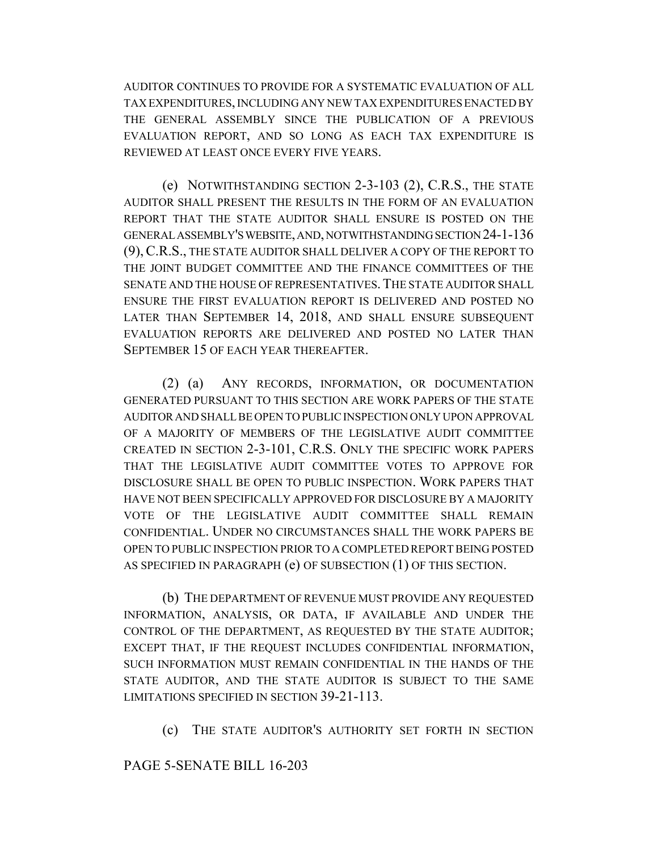AUDITOR CONTINUES TO PROVIDE FOR A SYSTEMATIC EVALUATION OF ALL TAX EXPENDITURES, INCLUDING ANY NEW TAX EXPENDITURES ENACTED BY THE GENERAL ASSEMBLY SINCE THE PUBLICATION OF A PREVIOUS EVALUATION REPORT, AND SO LONG AS EACH TAX EXPENDITURE IS REVIEWED AT LEAST ONCE EVERY FIVE YEARS.

(e) NOTWITHSTANDING SECTION 2-3-103 (2), C.R.S., THE STATE AUDITOR SHALL PRESENT THE RESULTS IN THE FORM OF AN EVALUATION REPORT THAT THE STATE AUDITOR SHALL ENSURE IS POSTED ON THE GENERAL ASSEMBLY'S WEBSITE, AND, NOTWITHSTANDING SECTION 24-1-136 (9),C.R.S., THE STATE AUDITOR SHALL DELIVER A COPY OF THE REPORT TO THE JOINT BUDGET COMMITTEE AND THE FINANCE COMMITTEES OF THE SENATE AND THE HOUSE OF REPRESENTATIVES. THE STATE AUDITOR SHALL ENSURE THE FIRST EVALUATION REPORT IS DELIVERED AND POSTED NO LATER THAN SEPTEMBER 14, 2018, AND SHALL ENSURE SUBSEQUENT EVALUATION REPORTS ARE DELIVERED AND POSTED NO LATER THAN SEPTEMBER 15 OF EACH YEAR THEREAFTER.

(2) (a) ANY RECORDS, INFORMATION, OR DOCUMENTATION GENERATED PURSUANT TO THIS SECTION ARE WORK PAPERS OF THE STATE AUDITOR AND SHALL BE OPEN TO PUBLIC INSPECTION ONLY UPON APPROVAL OF A MAJORITY OF MEMBERS OF THE LEGISLATIVE AUDIT COMMITTEE CREATED IN SECTION 2-3-101, C.R.S. ONLY THE SPECIFIC WORK PAPERS THAT THE LEGISLATIVE AUDIT COMMITTEE VOTES TO APPROVE FOR DISCLOSURE SHALL BE OPEN TO PUBLIC INSPECTION. WORK PAPERS THAT HAVE NOT BEEN SPECIFICALLY APPROVED FOR DISCLOSURE BY A MAJORITY VOTE OF THE LEGISLATIVE AUDIT COMMITTEE SHALL REMAIN CONFIDENTIAL. UNDER NO CIRCUMSTANCES SHALL THE WORK PAPERS BE OPEN TO PUBLIC INSPECTION PRIOR TO A COMPLETED REPORT BEING POSTED AS SPECIFIED IN PARAGRAPH (e) OF SUBSECTION (1) OF THIS SECTION.

(b) THE DEPARTMENT OF REVENUE MUST PROVIDE ANY REQUESTED INFORMATION, ANALYSIS, OR DATA, IF AVAILABLE AND UNDER THE CONTROL OF THE DEPARTMENT, AS REQUESTED BY THE STATE AUDITOR; EXCEPT THAT, IF THE REQUEST INCLUDES CONFIDENTIAL INFORMATION, SUCH INFORMATION MUST REMAIN CONFIDENTIAL IN THE HANDS OF THE STATE AUDITOR, AND THE STATE AUDITOR IS SUBJECT TO THE SAME LIMITATIONS SPECIFIED IN SECTION 39-21-113.

(c) THE STATE AUDITOR'S AUTHORITY SET FORTH IN SECTION

## PAGE 5-SENATE BILL 16-203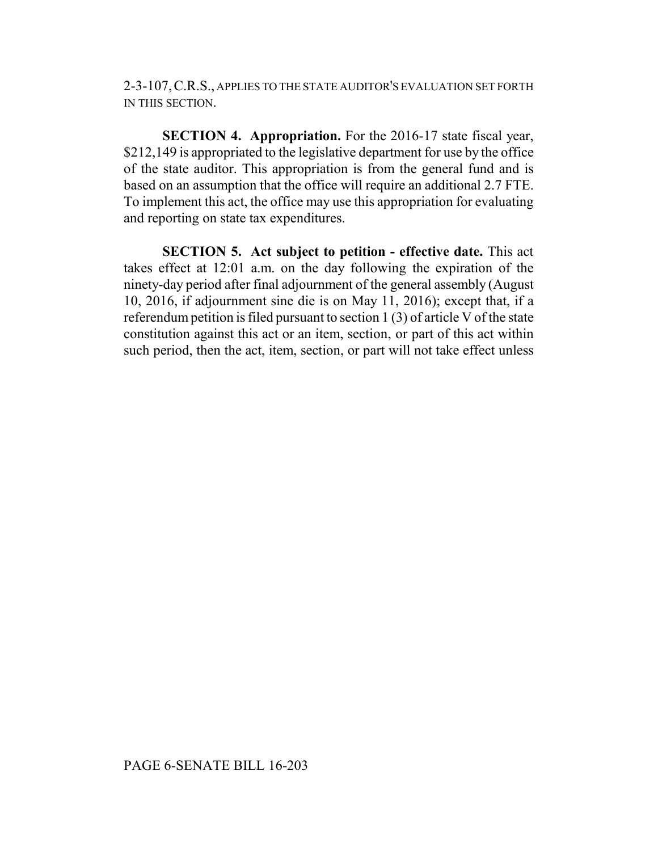2-3-107,C.R.S., APPLIES TO THE STATE AUDITOR'S EVALUATION SET FORTH IN THIS SECTION.

**SECTION 4. Appropriation.** For the 2016-17 state fiscal year, \$212,149 is appropriated to the legislative department for use by the office of the state auditor. This appropriation is from the general fund and is based on an assumption that the office will require an additional 2.7 FTE. To implement this act, the office may use this appropriation for evaluating and reporting on state tax expenditures.

**SECTION 5. Act subject to petition - effective date.** This act takes effect at 12:01 a.m. on the day following the expiration of the ninety-day period after final adjournment of the general assembly (August 10, 2016, if adjournment sine die is on May 11, 2016); except that, if a referendum petition is filed pursuant to section 1 (3) of article V of the state constitution against this act or an item, section, or part of this act within such period, then the act, item, section, or part will not take effect unless